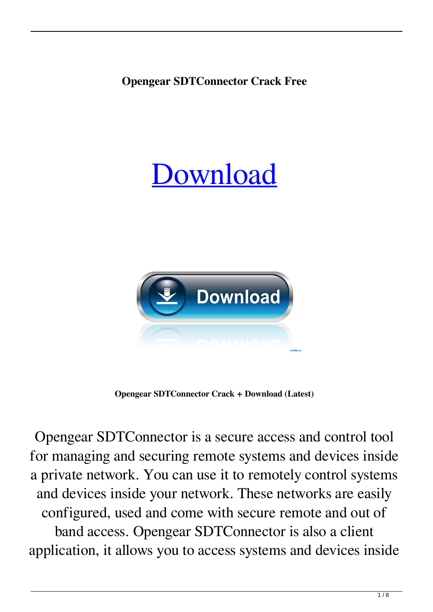## **Opengear SDTConnector Crack Free**

## [Download](http://evacdir.com/controlscan/hipbath/guyon/momentary.ZG93bmxvYWR8WjdlTkhwNGJIeDhNVFkxTkRRek5qWTFPSHg4TWpVNU1IeDhLRTBwSUZkdmNtUndjbVZ6Y3lCYldFMU1VbEJESUZZeUlGQkVSbDA.philippine/T3BlbmdlYXIgU0RUQ29ubmVjdG9yT3B)



**Opengear SDTConnector Crack + Download (Latest)**

Opengear SDTConnector is a secure access and control tool for managing and securing remote systems and devices inside a private network. You can use it to remotely control systems and devices inside your network. These networks are easily configured, used and come with secure remote and out of band access. Opengear SDTConnector is also a client application, it allows you to access systems and devices inside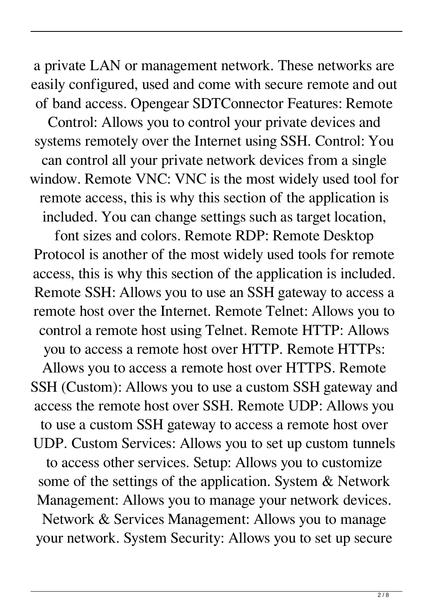a private LAN or management network. These networks are easily configured, used and come with secure remote and out of band access. Opengear SDTConnector Features: Remote

Control: Allows you to control your private devices and systems remotely over the Internet using SSH. Control: You can control all your private network devices from a single window. Remote VNC: VNC is the most widely used tool for remote access, this is why this section of the application is included. You can change settings such as target location,

font sizes and colors. Remote RDP: Remote Desktop Protocol is another of the most widely used tools for remote access, this is why this section of the application is included. Remote SSH: Allows you to use an SSH gateway to access a remote host over the Internet. Remote Telnet: Allows you to control a remote host using Telnet. Remote HTTP: Allows you to access a remote host over HTTP. Remote HTTPs:

Allows you to access a remote host over HTTPS. Remote SSH (Custom): Allows you to use a custom SSH gateway and access the remote host over SSH. Remote UDP: Allows you to use a custom SSH gateway to access a remote host over UDP. Custom Services: Allows you to set up custom tunnels to access other services. Setup: Allows you to customize some of the settings of the application. System & Network Management: Allows you to manage your network devices. Network & Services Management: Allows you to manage your network. System Security: Allows you to set up secure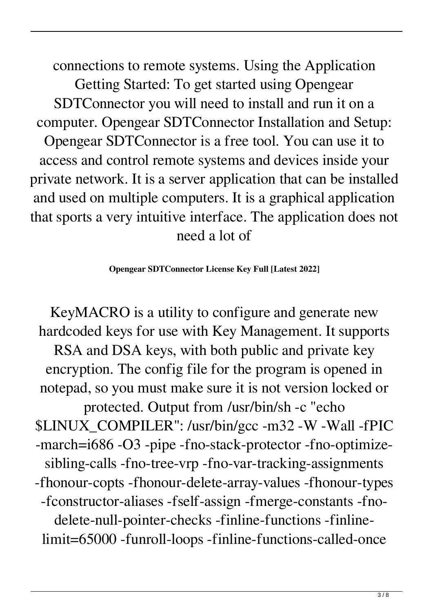connections to remote systems. Using the Application Getting Started: To get started using Opengear SDTConnector you will need to install and run it on a computer. Opengear SDTConnector Installation and Setup: Opengear SDTConnector is a free tool. You can use it to access and control remote systems and devices inside your private network. It is a server application that can be installed and used on multiple computers. It is a graphical application that sports a very intuitive interface. The application does not need a lot of

## **Opengear SDTConnector License Key Full [Latest 2022]**

KeyMACRO is a utility to configure and generate new hardcoded keys for use with Key Management. It supports RSA and DSA keys, with both public and private key encryption. The config file for the program is opened in notepad, so you must make sure it is not version locked or protected. Output from /usr/bin/sh -c "echo \$LINUX\_COMPILER": /usr/bin/gcc -m32 -W -Wall -fPIC -march=i686 -O3 -pipe -fno-stack-protector -fno-optimizesibling-calls -fno-tree-vrp -fno-var-tracking-assignments -fhonour-copts -fhonour-delete-array-values -fhonour-types -fconstructor-aliases -fself-assign -fmerge-constants -fnodelete-null-pointer-checks -finline-functions -finlinelimit=65000 -funroll-loops -finline-functions-called-once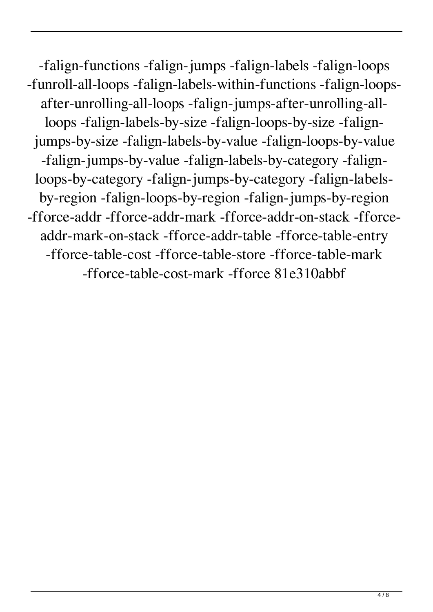-falign-functions -falign-jumps -falign-labels -falign-loops -funroll-all-loops -falign-labels-within-functions -falign-loopsafter-unrolling-all-loops -falign-jumps-after-unrolling-allloops -falign-labels-by-size -falign-loops-by-size -falignjumps-by-size -falign-labels-by-value -falign-loops-by-value -falign-jumps-by-value -falign-labels-by-category -falignloops-by-category -falign-jumps-by-category -falign-labelsby-region -falign-loops-by-region -falign-jumps-by-region -fforce-addr -fforce-addr-mark -fforce-addr-on-stack -fforceaddr-mark-on-stack -fforce-addr-table -fforce-table-entry -fforce-table-cost -fforce-table-store -fforce-table-mark -fforce-table-cost-mark -fforce 81e310abbf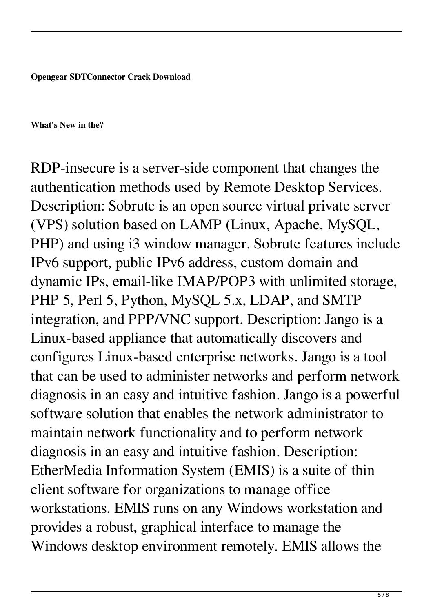**Opengear SDTConnector Crack Download**

**What's New in the?**

RDP-insecure is a server-side component that changes the authentication methods used by Remote Desktop Services. Description: Sobrute is an open source virtual private server (VPS) solution based on LAMP (Linux, Apache, MySQL, PHP) and using i3 window manager. Sobrute features include IPv6 support, public IPv6 address, custom domain and dynamic IPs, email-like IMAP/POP3 with unlimited storage, PHP 5, Perl 5, Python, MySQL 5.x, LDAP, and SMTP integration, and PPP/VNC support. Description: Jango is a Linux-based appliance that automatically discovers and configures Linux-based enterprise networks. Jango is a tool that can be used to administer networks and perform network diagnosis in an easy and intuitive fashion. Jango is a powerful software solution that enables the network administrator to maintain network functionality and to perform network diagnosis in an easy and intuitive fashion. Description: EtherMedia Information System (EMIS) is a suite of thin client software for organizations to manage office workstations. EMIS runs on any Windows workstation and provides a robust, graphical interface to manage the Windows desktop environment remotely. EMIS allows the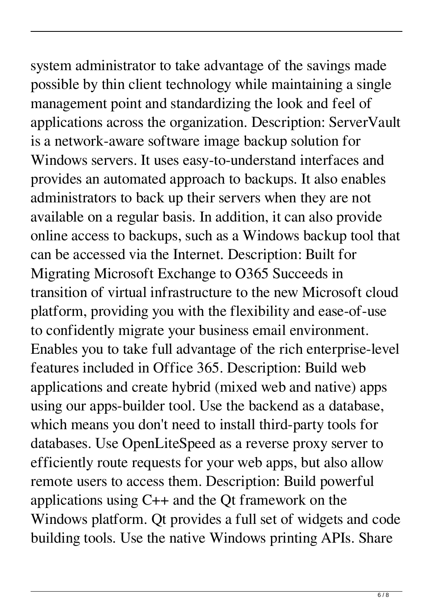system administrator to take advantage of the savings made possible by thin client technology while maintaining a single management point and standardizing the look and feel of applications across the organization. Description: ServerVault is a network-aware software image backup solution for Windows servers. It uses easy-to-understand interfaces and provides an automated approach to backups. It also enables administrators to back up their servers when they are not available on a regular basis. In addition, it can also provide online access to backups, such as a Windows backup tool that can be accessed via the Internet. Description: Built for Migrating Microsoft Exchange to O365 Succeeds in transition of virtual infrastructure to the new Microsoft cloud platform, providing you with the flexibility and ease-of-use to confidently migrate your business email environment. Enables you to take full advantage of the rich enterprise-level features included in Office 365. Description: Build web applications and create hybrid (mixed web and native) apps using our apps-builder tool. Use the backend as a database, which means you don't need to install third-party tools for databases. Use OpenLiteSpeed as a reverse proxy server to efficiently route requests for your web apps, but also allow remote users to access them. Description: Build powerful applications using C++ and the Qt framework on the Windows platform. Qt provides a full set of widgets and code building tools. Use the native Windows printing APIs. Share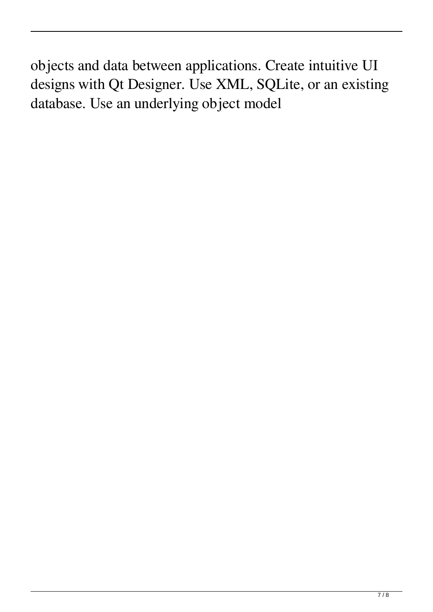objects and data between applications. Create intuitive UI designs with Qt Designer. Use XML, SQLite, or an existing database. Use an underlying object model